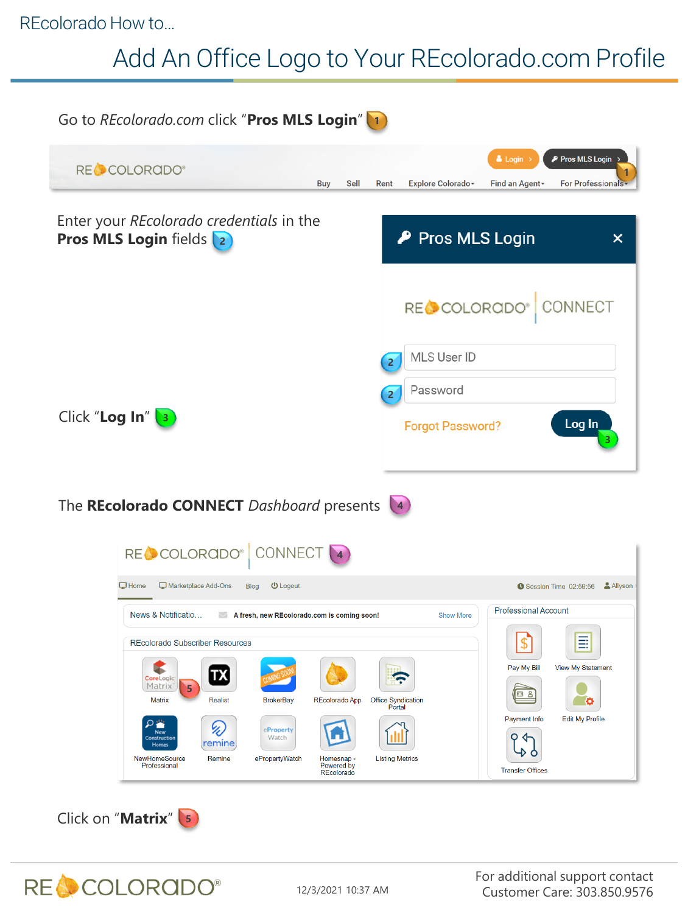#### REcolorado How to…

# Add An Office Logo to Your REcolorado.com Profile

| Go to REcolorado.com click "Pros MLS Login"                                                                                                                                                                                                                                                   |                                                          |      |                                                               |                         |                                                               |                                                              |
|-----------------------------------------------------------------------------------------------------------------------------------------------------------------------------------------------------------------------------------------------------------------------------------------------|----------------------------------------------------------|------|---------------------------------------------------------------|-------------------------|---------------------------------------------------------------|--------------------------------------------------------------|
| RECCOLORADO®                                                                                                                                                                                                                                                                                  | <b>Buy</b>                                               | Sell | Rent                                                          | Explore Colorado -      | $\triangle$ Login ><br>Find an Agent -                        | P Pros MLS Login<br><b>For Professionals</b>                 |
| Enter your REcolorado credentials in the<br><b>Pros MLS Login fields 2</b>                                                                                                                                                                                                                    |                                                          |      |                                                               | P Pros MLS Login        |                                                               | $\boldsymbol{\mathsf{x}}$                                    |
|                                                                                                                                                                                                                                                                                               |                                                          |      |                                                               | RECOLORADO®             |                                                               | CONNECT                                                      |
|                                                                                                                                                                                                                                                                                               |                                                          |      | $\overline{2}$                                                | MLS User ID             |                                                               |                                                              |
|                                                                                                                                                                                                                                                                                               |                                                          |      | $\overline{2}$                                                | Password                |                                                               |                                                              |
| Click "Log In"                                                                                                                                                                                                                                                                                |                                                          |      |                                                               | <b>Forgot Password?</b> |                                                               | Log In                                                       |
| The REcolorado CONNECT Dashboard presents                                                                                                                                                                                                                                                     |                                                          |      |                                                               |                         |                                                               |                                                              |
| RECCOLORADO® CONNECT                                                                                                                                                                                                                                                                          |                                                          |      |                                                               |                         |                                                               |                                                              |
| $\Box$ Home<br>Marketplace Add-Ons<br><b>Blog</b><br><b>U</b> Logout                                                                                                                                                                                                                          |                                                          |      |                                                               |                         |                                                               | Session Time 02:59:56 Allyson                                |
| News & Notificatio<br>A fresh, new REcolorado.com is coming soon!                                                                                                                                                                                                                             |                                                          |      |                                                               | <b>Show More</b>        | <b>Professional Account</b>                                   |                                                              |
| <b>REcolorado Subscriber Resources</b><br>$ {\bf X} $<br>CoreLogic <sup>®</sup><br>Matrix<br>5<br><b>Matrix</b><br><b>Realist</b><br><b>BrokerBay</b><br>O<br>ų,<br>eProperty<br>New<br>Watch<br>Construction<br>remıne<br>Homes<br>ePropertyWatch<br>NewHomeSource<br>Remine<br>Professional | REcolorado App<br>Homesnap -<br>Powered by<br>REcolorado |      | <b>Office Syndication</b><br>Portal<br><b>Listing Metrics</b> |                         | Pay My Bill<br>日 8<br>Payment Info<br><b>Transfer Offices</b> | ≣<br><b>View My Statement</b><br>o<br><b>Edit My Profile</b> |
| Click on "Matrix" 5                                                                                                                                                                                                                                                                           |                                                          |      |                                                               |                         |                                                               |                                                              |

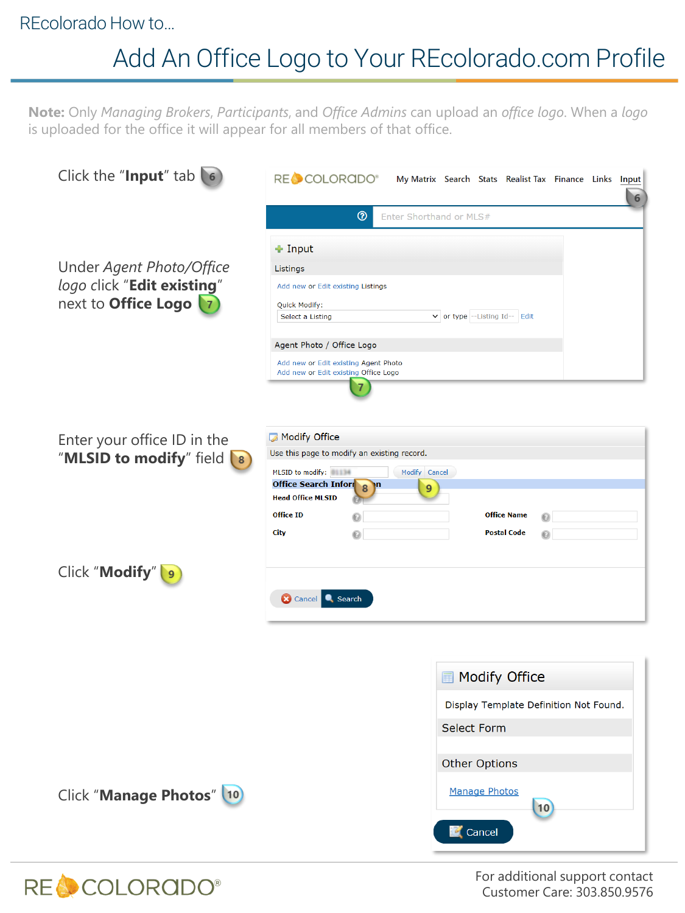### REcolorado How to…

## Add An Office Logo to Your REcolorado.com Profile

**Note:** Only *Managing Brokers*, *Participants*, and *Office Admins* can upload an *office logo*. When a *logo*  is uploaded for the office it will appear for all members of that office.

| Click the "Input" $tab$ (6)                                                                 | RE COLORADO®<br>My Matrix Search Stats Realist Tax Finance Links Input<br>6                                                                                                                                                                                                                               |  |  |  |
|---------------------------------------------------------------------------------------------|-----------------------------------------------------------------------------------------------------------------------------------------------------------------------------------------------------------------------------------------------------------------------------------------------------------|--|--|--|
|                                                                                             | $\circledcirc$<br>Enter Shorthand or MLS#                                                                                                                                                                                                                                                                 |  |  |  |
| Under Agent Photo/Office<br>logo click "Edit existing"<br>next to Office Logo               | + Input<br>Listings<br>Add new or Edit existing Listings<br>Quick Modify:<br>v or type -- Listing Id-- Edit<br>Select a Listing<br>Agent Photo / Office Logo<br>Add new or Edit existing Agent Photo<br>Add new or Edit existing Office Logo                                                              |  |  |  |
| Enter your office ID in the<br>"MLSID to modify" field<br>$\begin{pmatrix} 8 \end{pmatrix}$ | <b>Modify Office</b><br>Use this page to modify an existing record.<br>MLSID to modify:<br>Modify Cancel<br><b>Office Search Inform</b><br>$\mathbf{m}$<br>$\overline{8}$<br>9<br><b>Head Office MLSID</b><br><b>Office ID</b><br><b>Office Name</b><br>๏<br>ِ (⊝<br>City<br><b>Postal Code</b><br>๏<br>◉ |  |  |  |
| Click "Modify"  9                                                                           | <b>3</b> Cancel<br>Search                                                                                                                                                                                                                                                                                 |  |  |  |
|                                                                                             |                                                                                                                                                                                                                                                                                                           |  |  |  |
|                                                                                             | <b>I</b> Modify Office                                                                                                                                                                                                                                                                                    |  |  |  |
|                                                                                             | Display Template Definition Not Found.                                                                                                                                                                                                                                                                    |  |  |  |
|                                                                                             | <b>Select Form</b>                                                                                                                                                                                                                                                                                        |  |  |  |
|                                                                                             | <b>Other Options</b>                                                                                                                                                                                                                                                                                      |  |  |  |
| Click "Manage Photos" 10                                                                    | <b>Manage Photos</b><br>10<br>Cancel                                                                                                                                                                                                                                                                      |  |  |  |



For additional support contact Customer Care: 303.850.9576